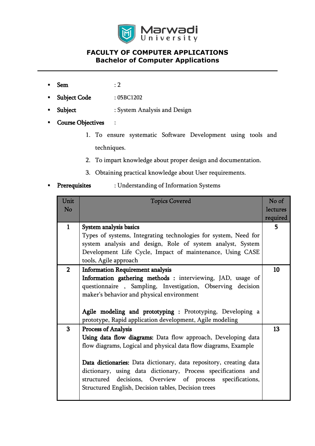

- $Sem$  : 2
- **Subject Code** : 05BC1202
- Subject : System Analysis and Design
- **Course Objectives** :
	- 1. To ensure systematic Software Development using tools and techniques.
	- 2. To impart knowledge about proper design and documentation.
	- 3. Obtaining practical knowledge about User requirements.

#### **Prerequisites** : Understanding of Information Systems

| Unit<br>No     | <b>Topics Covered</b>                                                                                                                                                                                                                                                                                                                                                                                                     | No of<br>lectures<br>required |
|----------------|---------------------------------------------------------------------------------------------------------------------------------------------------------------------------------------------------------------------------------------------------------------------------------------------------------------------------------------------------------------------------------------------------------------------------|-------------------------------|
| $\mathbf{1}$   | System analysis basics<br>Types of systems, Integrating technologies for system, Need for<br>system analysis and design, Role of system analyst, System<br>Development Life Cycle, Impact of maintenance, Using CASE                                                                                                                                                                                                      | 5                             |
| $\overline{2}$ | tools, Agile approach<br><b>Information Requirement analysis</b><br>Information gathering methods: interviewing, JAD, usage of<br>questionnaire, Sampling, Investigation, Observing decision<br>maker's behavior and physical environment<br>Agile modeling and prototyping : Prototyping, Developing a<br>prototype, Rapid application development, Agile modeling                                                       | 10                            |
| 3              | <b>Process of Analysis</b><br>Using data flow diagrams: Data flow approach, Developing data<br>flow diagrams, Logical and physical data flow diagrams, Example<br>Data dictionaries: Data dictionary, data repository, creating data<br>dictionary, using data dictionary, Process specifications and<br>structured decisions, Overview of process specifications,<br>Structured English, Decision tables, Decision trees | 13                            |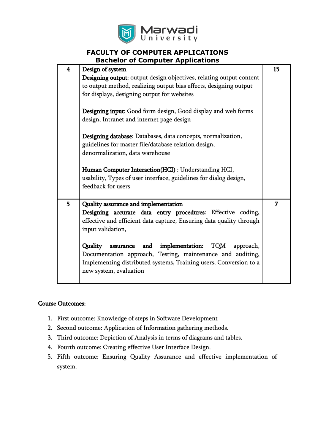

|   | ---- 175                                                                                                                                                                                                                   |    |
|---|----------------------------------------------------------------------------------------------------------------------------------------------------------------------------------------------------------------------------|----|
| 4 | Design of system                                                                                                                                                                                                           | 15 |
|   | Designing output: output design objectives, relating output content                                                                                                                                                        |    |
|   | to output method, realizing output bias effects, designing output                                                                                                                                                          |    |
|   | for displays, designing output for websites                                                                                                                                                                                |    |
|   | Designing input: Good form design, Good display and web forms                                                                                                                                                              |    |
|   | design, Intranet and internet page design                                                                                                                                                                                  |    |
|   | Designing database: Databases, data concepts, normalization,                                                                                                                                                               |    |
|   | guidelines for master file/database relation design,                                                                                                                                                                       |    |
|   | denormalization, data warehouse                                                                                                                                                                                            |    |
|   | Human Computer Interaction(HCI): Understanding HCI,<br>usability, Types of user interface, guidelines for dialog design,<br>feedback for users                                                                             |    |
| 5 | Quality assurance and implementation                                                                                                                                                                                       | 7  |
|   | Designing accurate data entry procedures: Effective coding,<br>effective and efficient data capture, Ensuring data quality through<br>input validation,                                                                    |    |
|   | assurance and implementation: TQM approach,<br><b>Quality</b><br>Documentation approach, Testing, maintenance and auditing,<br>Implementing distributed systems, Training users, Conversion to a<br>new system, evaluation |    |

#### Course Outcomes:

- 1. First outcome: Knowledge of steps in Software Development
- 2. Second outcome: Application of Information gathering methods.
- 3. Third outcome: Depiction of Analysis in terms of diagrams and tables.
- 4. Fourth outcome: Creating effective User Interface Design.
- 5. Fifth outcome: Ensuring Quality Assurance and effective implementation of system.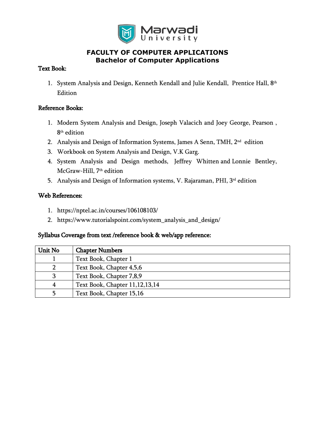

#### Text Book:

1.  $\,$  System Analysis and Design, Kenneth Kendall and Julie Kendall,  $\,$  Prentice Hall,  $8^{\rm th}$ Edition

#### Reference Books:

- 1. Modern System Analysis and Design, Joseph Valacich and Joey George, Pearson ,  $8<sup>th</sup>$  edition
- 2. Analysis and Design of Information Systems, James A Senn, TMH, 2nd edition
- 3. Workbook on System Analysis and Design, V.K Garg.
- 4. System Analysis and Design methods, Jeffrey [Whitten](https://www.amazon.com/s/ref=dp_byline_sr_book_1?ie=UTF8&text=Jeffrey+Whitten&search-alias=books&field-author=Jeffrey+Whitten&sort=relevancerank) and Lonnie [Bentley,](https://www.amazon.com/s/ref=dp_byline_sr_book_2?ie=UTF8&text=Lonnie+Bentley&search-alias=books&field-author=Lonnie+Bentley&sort=relevancerank)  $\rm{McGraw-Hill},$   $7^{\rm{th}}$  edition
- 5.  $\,$  Analysis and Design of Information systems, V. Rajaraman, PHI,  $3^{\rm rd}$  edition

#### Web References:

- 1. https://nptel.ac.in/courses/106108103/
- 2. https://www.tutorialspoint.com/system\_analysis\_and\_design/

#### Syllabus Coverage from text /reference book & web/app reference:

| Unit No | <b>Chapter Numbers</b>            |
|---------|-----------------------------------|
|         | Text Book, Chapter 1              |
|         | Text Book, Chapter 4,5,6          |
|         | Text Book, Chapter 7,8,9          |
|         | Text Book, Chapter 11, 12, 13, 14 |
|         | Text Book, Chapter 15,16          |